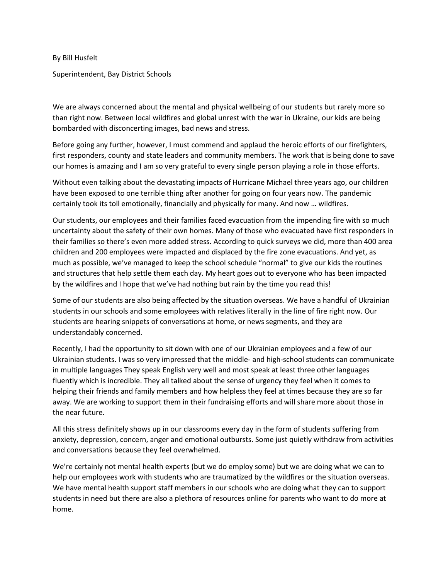By Bill Husfelt

Superintendent, Bay District Schools

We are always concerned about the mental and physical wellbeing of our students but rarely more so than right now. Between local wildfires and global unrest with the war in Ukraine, our kids are being bombarded with disconcerting images, bad news and stress.

Before going any further, however, I must commend and applaud the heroic efforts of our firefighters, first responders, county and state leaders and community members. The work that is being done to save our homes is amazing and I am so very grateful to every single person playing a role in those efforts.

Without even talking about the devastating impacts of Hurricane Michael three years ago, our children have been exposed to one terrible thing after another for going on four years now. The pandemic certainly took its toll emotionally, financially and physically for many. And now … wildfires.

Our students, our employees and their families faced evacuation from the impending fire with so much uncertainty about the safety of their own homes. Many of those who evacuated have first responders in their families so there's even more added stress. According to quick surveys we did, more than 400 area children and 200 employees were impacted and displaced by the fire zone evacuations. And yet, as much as possible, we've managed to keep the school schedule "normal" to give our kids the routines and structures that help settle them each day. My heart goes out to everyone who has been impacted by the wildfires and I hope that we've had nothing but rain by the time you read this!

Some of our students are also being affected by the situation overseas. We have a handful of Ukrainian students in our schools and some employees with relatives literally in the line of fire right now. Our students are hearing snippets of conversations at home, or news segments, and they are understandably concerned.

Recently, I had the opportunity to sit down with one of our Ukrainian employees and a few of our Ukrainian students. I was so very impressed that the middle- and high-school students can communicate in multiple languages They speak English very well and most speak at least three other languages fluently which is incredible. They all talked about the sense of urgency they feel when it comes to helping their friends and family members and how helpless they feel at times because they are so far away. We are working to support them in their fundraising efforts and will share more about those in the near future.

All this stress definitely shows up in our classrooms every day in the form of students suffering from anxiety, depression, concern, anger and emotional outbursts. Some just quietly withdraw from activities and conversations because they feel overwhelmed.

We're certainly not mental health experts (but we do employ some) but we are doing what we can to help our employees work with students who are traumatized by the wildfires or the situation overseas. We have mental health support staff members in our schools who are doing what they can to support students in need but there are also a plethora of resources online for parents who want to do more at home.